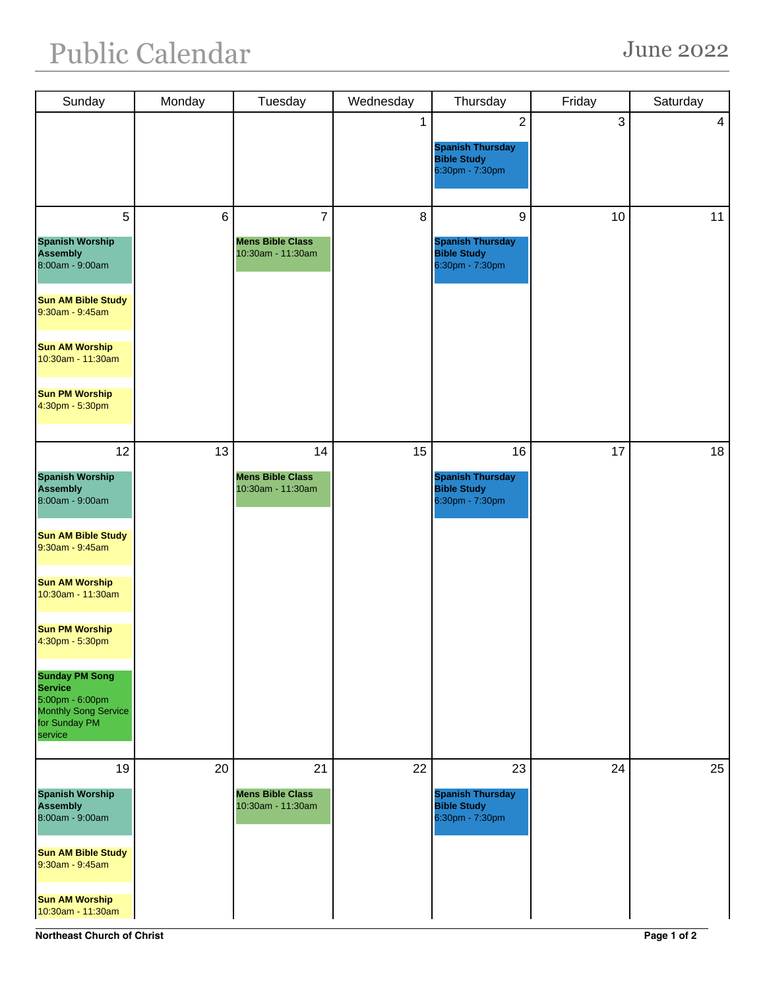## Public Calendar June 2022

| Sunday                                                                                                                                                                                                                                                                                                                               | Monday         | Tuesday                                            | Wednesday | Thursday                                                                           | Friday | Saturday       |
|--------------------------------------------------------------------------------------------------------------------------------------------------------------------------------------------------------------------------------------------------------------------------------------------------------------------------------------|----------------|----------------------------------------------------|-----------|------------------------------------------------------------------------------------|--------|----------------|
|                                                                                                                                                                                                                                                                                                                                      |                |                                                    | 1         | $\overline{2}$<br><b>Spanish Thursday</b><br><b>Bible Study</b><br>6:30pm - 7:30pm | 3      | $\overline{4}$ |
| 5<br><b>Spanish Worship</b><br><b>Assembly</b><br>8:00am - 9:00am<br><b>Sun AM Bible Study</b><br>$9:30am - 9:45am$<br><b>Sun AM Worship</b><br>10:30am - 11:30am<br><b>Sun PM Worship</b><br>4:30pm - 5:30pm                                                                                                                        | $6\phantom{1}$ | 7<br><b>Mens Bible Class</b><br>10:30am - 11:30am  | 8         | 9<br><b>Spanish Thursday</b><br><b>Bible Study</b><br>6:30pm - 7:30pm              | 10     | 11             |
| 12<br><b>Spanish Worship</b><br><b>Assembly</b><br>8:00am - 9:00am<br><b>Sun AM Bible Study</b><br>$9:30$ am - $9:45$ am<br><b>Sun AM Worship</b><br>10:30am - 11:30am<br><b>Sun PM Worship</b><br>4:30pm - 5:30pm<br><b>Sunday PM Song</b><br><b>Service</b><br>5:00pm - 6:00pm<br>Monthly Song Service<br>for Sunday PM<br>service | 13             | 14<br><b>Mens Bible Class</b><br>10:30am - 11:30am | 15        | 16<br><b>Spanish Thursday</b><br><b>Bible Study</b><br>6:30pm - 7:30pm             | 17     | 18             |
| 19<br><b>Spanish Worship</b><br><b>Assembly</b><br>8:00am - 9:00am<br><b>Sun AM Bible Study</b><br>$9:30am - 9:45am$<br><b>Sun AM Worship</b><br>10:30am - 11:30am                                                                                                                                                                   | 20             | 21<br><b>Mens Bible Class</b><br>10:30am - 11:30am | 22        | 23<br><b>Spanish Thursday</b><br><b>Bible Study</b><br>6:30pm - 7:30pm             | 24     | 25             |